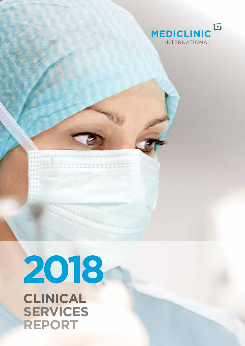

# 2018 **CLINICAL SERVICES REPORT**

本質は ar she 家吉吉  $-1111$ ar ar s in in t i ve

i in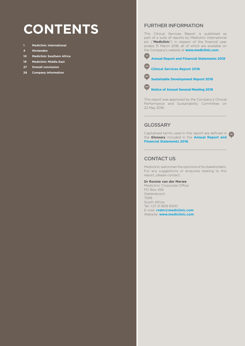## **CONTENTS** FURTHER INFORMATION

- **1 Mediclinic International**
- **4 Hirslanden**
- **10 Mediclinic Southern Africa**
- **19 Mediclinic Middle East**
- **27 Overall conclusion**
- **28 Company information**

This Clinical Services Report is published as part of a suite of reports by Mediclinic International plc ("**Mediclinic**") in respect of the financial year ended 31 March 2018, all of which are available on the Company's website at **www.mediclinic.com**.



**CSR Clinical Services Report 2018**



 **Sustainable Development Report 2018**



 **Notice of Annual General Meeting 2018**

This report was approved by the Company's Clinical Performance and Sustainability Committee on 22 May 2018.

## **GLOSSARY**

Capitalised terms used in this report are defined in **AR** the **Glossary** included in the **Annual Report and Financial Statements 2018**.

## CONTACT US

Mediclinic welcomes the opinions of its stakeholders. For any suggestions or enquiries relating to this report, please contact:

#### **Dr Ronnie van der Merwe**

Mediclinic Corporate Office PO Box 456 Stellenbosch 7599 South Africa Tel: +27 21 809 6500 E-mail: **rvdm@mediclinic.com**  Website: **www.mediclinic.com**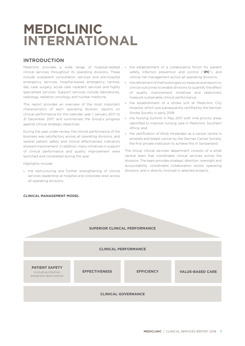## **MEDICLINIC INTERNATIONAL**

## **INTRODUCTION**

Mediclinic provides a wide range of hospital-related clinical services throughout its operating divisions. These include outpatient consultation services and pre-hospital emergency services, hospital-based emergency centres, day case surgery, acute care inpatient services and highly specialised services. Support services include laboratories, radiology, radiation oncology and nuclear medicine.

This report provides an overview of the most important characteristics of each operating division, reports on clinical performance for the calendar year 1 January 2017 to 31 December 2017, and summarises the Group's progress against clinical strategic objectives.

During the year under review, the clinical performance of the business was satisfactory across all operating divisions, and several patient safety and clinical effectiveness indicators showed improvement. In addition, many initiatives in support of clinical performance and quality improvement were launched and completed during the year.

Highlights include:

**•** the restructuring and further strengthening of clinical services leadership at hospital and corporate level across all operating divisions;

- **•** the establishment of a collaborative forum for patient safety, infection prevention and control ("**IPC**"), and clinical risk management across all operating divisions;
- **•** the refinement of methodologies to measure and report on clinical outcomes to enable divisions to quantify the effect of quality improvement initiatives and objectively measure sustainable clinical performance;
- **•** the establishment of a stroke unit at Mediclinic City Hospital, which was subsequently certified by the German Stroke Society in early 2018;
- **•** the Nursing Summit in May 2017 with nine priority areas identified to improve nursing care in Mediclinic Southern Africa; and
- **•** the certification of Klinik Hirslanden as a cancer centre in prostate and breast cancer by the German Cancer Society, the first private institution to achieve this in Switzerland.

The Group clinical services department consists of a small central team that coordinates clinical services across the divisions. The team provides strategic direction, oversight and accountability, coordinates collaboration across operating divisions, and is directly involved in selected projects.



## **CLINICAL MANAGEMENT MODEL**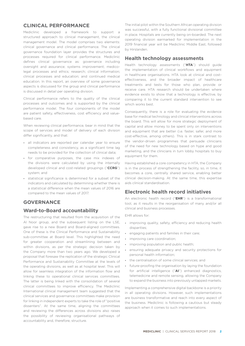## **CLINICAL PERFORMANCE**

Mediclinic developed a framework to support a structured approach to clinical management, the clinical management model. The model comprises two elements: clinical governance and clinical performance. The clinical governance foundation layer provides the structures and processes required for clinical performance. Mediclinic defines clinical governance as: governance including oversight and assurance; systems improvement; medicolegal processes and ethics; research; clinical information; clinical processes and education; and continued medical education. In this report, an overview of some governance aspects is discussed for the group and clinical performance is discussed in detail per operating division.

Clinical performance refers to the quality of the clinical processes and outcomes and is supported by the clinical performance model. The four components of the model are patient safety, effectiveness, cost efficiency and valuebased care.

When reviewing clinical performance, bear in mind that the scope of services and model of delivery of each division differ significantly, and that:

- **•** all indicators are reported per calendar year to ensure completeness and consistency, as a significant time lag needs to be provided for the collection of clinical data;
- **•** for comparative purposes, the case mix indexes of the divisions were calculated by using the internally developed clinical and cost-related groupings ("**CCRG**") system; and
- **•** statistical significance is determined for a subset of the indicators and calculated by determining whether there is a statistical difference when the mean values of 2016 are compared to the mean values of 2017.

## **GOVERNANCE**

## **Ward-to-Board accountability**

The restructuring that resulted from the acquisition of the Al Noor group, and the subsequent listing on the LSE, gave rise to a new Board and Board-aligned committees. One of these is the Clinical Performance and Sustainability sub-committee at Board level. This highlighted the need for greater cooperation and streamlining between and within divisions, as per the strategic decision taken by the Company more than two years ago. We developed a proposal that foresaw the replication of the strategic Clinical Performance and Sustainability Committee at the levels of the operating divisions, as well as at hospital level. This will allow for seamless integration of the information flow and linking these to operational clinical services committees. The latter is being linked with the consolidation of several clinical committees to improve efficiency. The Mediclinic International clinical management team suggested that the clinical services and governance committees make provision for linking in independent experts to take the role of "positive dissenters". At the same time, aligning the committees and reviewing the differences across divisions also raises the possibility of reviewing organisational pathways of accountability and, therefore, structure.

The initial pilot within the Southern African operating division was successful, with a fully functional divisional committee in place. Hospitals are currently being on-boarded. The next operating division earmarked for implementation in the 2019 financial year will be Mediclinic Middle East, followed by Hirslanden.

## **Health technology assessments**

Health technology assessments ("**HTA**") should guide the implementation of clinical workflows and equipment in healthcare organisations. HTA look at clinical and costeffectiveness, and the broader impact of healthcare treatments and tests for those who plan, provide or receive care. HTA research should be undertaken where evidence exists to show that a technology is effective, by comparing it to the current standard intervention to see which works best.

Consequently, there is a role for evaluating the evidence base for medical technology and clinical interventions across the board. This will allow for more strategic deployment of capital and allow money to be spent only on interventions and equipment that are better (i.e. faster, safer, and more cost-effective, among others). This is in stark contrast to the vendor-driven programmes that persuade clinicians of the need for new technology based on hype and good marketing, and the clinicians in turn lobby hospitals to buy equipment for them.

Having established a core competency in HTA, the Company is in the process of strengthening the facility, so, in time, it becomes a core, centrally shared service, enabling better clinical decision-making. At the same time, this expertise aids clinical standardisation.

## **Electronic health record initiatives**

An electronic health record ("**EHR**") is a transformational tool, as it results in the reorganisation of many and/or all clinical and business processes.

EHR allows for:

- **•** improving quality, safety, efficiency and reducing health disparities;
- **•** engaging patients and families in their care;
- **•** improving care coordination;
- **•** improving population and public health;
- **•** ensuring adequate privacy and security protections for personal health information;
- **•** the centralisation of some clinical services; and
- **•** future-proofing the organisation by laying the foundation for artificial intelligence ("**AI**") enhanced diagnostics, telemedicine and remote sensing, allowing the Company to expand the business into previously untapped markets.

Implementing a comprehensive digital backbone is a priority in all operating divisions. However, such implementations are business transformative and reach into every aspect of the business. Mediclinic is following a cautious but steady approach when it comes to such implementations.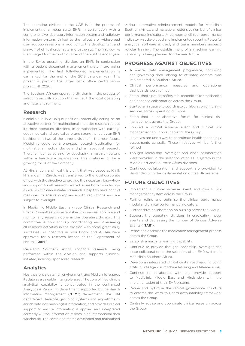The operating division in the UAE is in the process of implementing a mega suite EHR, in conjunction with a comprehensive laboratory information system and radiology information system. Linked to the rollout are: widespread user adoption sessions, in addition to the development and sign-off of clinical order sets and pathways. The first go-live is envisaged for the fourth quarter of the 2018 calendar year.

In the Swiss operating division, an EHR, in conjunction with a patient document management system, are being implemented. The first fully-fledged implementation is earmarked for the end of the 2018 calendar year. This project is part of the larger back office centralisation project, HIT2020.

The Southern African operating division is in the process of selecting an EHR solution that will suit the local operating and fiscal environment.

## **Research**

Mediclinic is in a unique position, potentially acting as an attractive partner for multinational, multisite research across its three operating divisions. In combination with cuttingedge medical and surgical care, and strengthened by an EHR backbone in two of the three divisions in the near future, Mediclinic could be a one-stop research destination for multinational medical device and pharmaceutical research. There is much to be said for developing a research culture within a healthcare organisation. This continues to be a growing focus of the Company.

At Hirslanden, a clinical trials unit that was based at Klinik Hirslanden in Zürich, was transferred to the local corporate office, with the directive to provide the necessary know-how and support for all research-related issues both for industry– as well as clinician-initiated research. Hospitals have control measures to ensure compliance with regulations and are subject to oversight.

In Mediclinic Middle East, a group Clinical Research and Ethics Committee was established to oversee, approve and monitor any research done in the operating division. This committee is now actively coordinating and overseeing all research activities in the division with some great early successes. All hospitals in Abu Dhabi and Al Ain were approved for a research licence at the Department of Health ("**DoH**").

Mediclinic Southern Africa monitors research being performed within the division and supports clinicianinitiated, industry-sponsored research.

## **Analytics**

Healthcare is a data rich environment, and Mediclinic regards its data as a valuable intangible asset. The core of Mediclinic's analytical capability is concentrated in the centralised Analytics & Reporting department, supported by the Health Information Management ("**HIM**") department. The HIM department develops grouping systems and algorithms to enrich data into meaningful information, and provides clinical support to ensure information is applied and interpreted correctly. All the information resides in an international data warehouse. The combined teams developed and maintained

various alternative reimbursement models for Mediclinic Southern Africa, and manage an extensive number of clinical performance indicators. A composite clinical performance indicator was developed and implemented recently. Powerful analytical software is used, and team members undergo regular training. The establishment of a machine learning capability is being planned for the near future.

## **PROGRESS AGAINST OBJECTIVES**

- **•** A master data management programme, compiling and governing data relating to affiliated doctors, was implemented in Southern Africa.
- **•** Clinical performance measures and operational dashboards were refined.
- **•** Established a patient safety sub-committee to standardise and enhance collaboration across the Group.
- **•** Started an initiative to coordinate collaboration of nursing services across operating divisions.
- **•** Established a collaborative forum for clinical risk management across the Group.
- **•** Sourced a clinical adverse event and clinical risk management solution suitable for the Group.
- **•** Initiatives are underway to coordinate health technology assessments centrally. These initiatives will be further refined.
- **•** Thought leadership, oversight and close collaboration were provided in the selection of an EHR system in the Middle East and Southern Africa divisions.
- **•** Continued collaboration and support are provided to Hirslanden with the implementation of its EHR systems.

## **FUTURE OBJECTIVES**

- **•** Implement a clinical adverse event and clinical risk management system across the Group.
- **•** Further refine and optimise the clinical performance model and clinical performance indicators.
- **•** Further drive collaboration on nursing across the Group.
- **•** Support the operating divisions in eradicating never events and decreasing the number of Serious Adverse Events ("**SAE**").
- **•** Refine and optimise the medication management process across the Group.
- **•** Establish a machine learning capability.
- **•** Continue to provide thought leadership, oversight and close collaboration in the selection of an EHR system in Mediclinic Southern Africa.
- **•** Develop an integrated clinical digital roadmap, including artificial intelligence, machine learning and telemedicine.
- **•** Continue to collaborate with and provide support to Mediclinic Middle East and Hirslanden with the implementation of their EHR systems.
- **•** Refine and optimise the clinical governance structure to enforce the Ward-to-Board accountability framework across the Group.
- **•** Centrally advise and coordinate clinical research across the Group.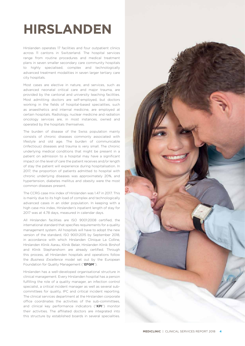## **HIRSLANDEN**

Hirslanden operates 17 facilities and four outpatient clinics across 11 cantons in Switzerland. The hospital services range from routine procedures and medical treatment plans in seven smaller secondary care community hospitals to highly specialised, complex and technologically advanced treatment modalities in seven larger tertiary care city hospitals.

Most cases are elective in nature, and services, such as advanced neonatal critical care and major trauma, are provided by the cantonal and university teaching facilities. Most admitting doctors are self-employed, but doctors working in the fields of hospital-based specialities, such as anaesthetics and internal medicine, are employed at certain hospitals. Radiology, nuclear medicine and radiation oncology services are, in most instances, owned and operated by the hospitals themselves.

The burden of disease of the Swiss population mainly consists of chronic diseases commonly associated with lifestyle and old age. The burden of communicable (infectious) diseases and trauma is very small. The chronic underlying medical conditions that might be present in a patient on admission to a hospital may have a significant impact on the level of care the patient receives and/or length of stay the patient will experience during hospitalisation. In 2017, the proportion of patients admitted to hospital with chronic underlying diseases was approximately 20%, and hypertension, diabetes mellitus and obesity were the most common diseases present.

The CCRG case mix index of Hirslanden was 1.47 in 2017. This is mainly due to its high load of complex and technologically advanced cases in an older population. In keeping with a high case mix index, Hirslanden's inpatient length of stay for 2017 was at 4.78 days, measured in calendar days.

All Hirslanden facilities are ISO 9001:2008 certified, the international standard that specifies requirements for a quality management system. All hospitals will have to adopt the new version of the standard, ISO 9001:2015 by September 2018, in accordance with which Hirslanden Clinique La Colline, Hirslanden Klinik Aarau, Klinik Belair, Hirslanden Klinik Birshof and Klinik Stephanshorn are already certified. Through this process, all Hirslanden hospitals and operations follow the *Business Excellence* model set out by the European Foundation for Quality Management ("**EFQM**").

Hirslanden has a well-developed organisational structure in clinical management. Every Hirslanden hospital has a person fulfilling the role of a quality manager, an infection control specialist, a critical incident manager as well as several subcommittees for quality, IPC and critical incident reporting. The clinical services department at the Hirslanden corporate office coordinates the activities of the sub-committees, and clinical key performance indicators ("**KPI**") monitor their activities. The affiliated doctors are integrated into this structure by established boards in several specialities.

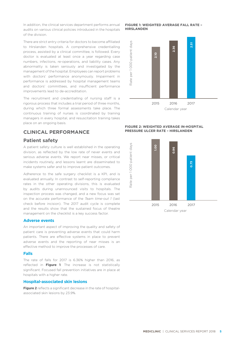In addition, the clinical services department performs annual audits on various clinical policies introduced in the hospitals of the division.

There are strict entry criteria for doctors to become affiliated to Hirslanden hospitals. A comprehensive credentialling process, assisted by a clinical committee, is followed. Every doctor is evaluated at least once a year regarding case numbers, infections, re-operations, and liability cases. Any abnormality is taken seriously and investigated by the management of the hospital. Employees can report problems with doctors' performance anonymously. Impairment in performance is addressed by hospital management teams and doctors' committees, and insufficient performance improvements lead to de-accreditation.

The recruitment and credentialling of nursing staff is a rigorous process that includes a trial period of three months, during which three formal assessments take place. The continuous training of nurses is coordinated by training managers in every hospital, and resuscitation training takes place on an ongoing basis.

## **CLINICAL PERFORMANCE**

## **Patient safety**

A patient safety culture is well established in the operating division, as reflected by the low rate of never events and serious adverse events. We report near misses, or critical incidents routinely, and lessons learnt are disseminated to make systems safer and to improve patient outcomes.

Adherence to the safe surgery checklist is a KPI, and is evaluated annually. In contrast to self-reporting compliance rates in the other operating divisions, this is evaluated by audits during unannounced visits to hospitals. The inspection process was changed, and a new focus was set on the accurate performance of the *Team time-out 1* (last check before incision). The 2017 audit cycle is complete and the results show that the sustained focus of theatre management on the checklist is a key success factor.

#### **Adverse events**

An important aspect of improving the quality and safety of patient care is preventing adverse events that could harm patients. There are effective systems in place to prevent adverse events and the reporting of near misses is an effective method to improve the processes of care.

#### **Falls**

The rate of falls for 2017 is 6.36% higher than 2016, as reflected in **Figure 1**. The increase is not statistically significant. Focused fall prevention initiatives are in place at hospitals with a higher rate.

#### **Hospital-associated skin lesions**

**Figure 2** reflects a significant decrease in the rate of hospitalassociated skin lesions by 23.9%.

#### **FIGURE 1: WEIGHTED AVERAGE FALL RATE – HIRSLANDEN**



#### **FIGURE 2: WEIGHTED AVERAGE IN-HOSPITAL PRESSURE ULCER RATE – HIRSLANDEN**

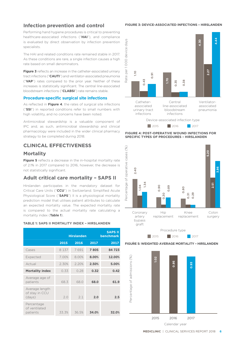## **Infection prevention and control**

Performing hand hygiene procedures is critical to preventing healthcare-associated infections ("**HAI**"), and compliance is evaluated by direct observation by infection prevention specialists.

The HAI and related conditions rate remained stable in 2017. As these conditions are rare, a single infection causes a high rate based on small denominators.

**Figure 3** reflects an increase in the catheter-associated urinary tract infections ("**CAUTI**") and ventilator-associated pneumonia ("**VAP**") rates compared to the prior year. Neither of these increases is statistically significant. The central line-associated bloodstream infections ("**CLABSI**") rate remains stable.

#### **Procedure-specific surgical site infections**

As reflected in **Figure 4**, the rates of surgical site infections ("**SSI**") in reported conditions refer to small numbers with high volatility, and no concerns have been noted.

Antimicrobial stewardship is a valuable component of IPC and, as such, antimicrobial stewardship and clinical pharmacology were included in the wider clinical pharmacy strategy to be completed during 2018.

## **CLINICAL EFFECTIVENESS**

## **Mortality**

**Figure 5** reflects a decrease in the in-hospital mortality rate of 2.1% in 2017 compared to 2016, however, the decrease is not statistically significant.

## **Adult critical care mortality – SAPS II**

Hirslanden participates in the mandatory dataset for Critical Care Units ("**CCU**") in Switzerland. Simplified Acute Physiological Score ("**SAPS**") II is a physiological mortality prediction model that utilises patient attributes to calculate an expected mortality value. The expected mortality rate is compared to the actual mortality rate calculating a Is compared to the actual mortality rate calculating a Coronary<br>mortality index (**Table 1**).

#### **TABLE 1: SAPS II MORTALITY INDEX – HIRSLANDEN**

|                                            | <b>Hirslanden</b> |       |       | <b>SAPS II</b><br><b>benchmark</b> |  |
|--------------------------------------------|-------------------|-------|-------|------------------------------------|--|
|                                            | 2015              | 2016  | 2017  | 2017                               |  |
| Cases                                      | 8 1 3 7           | 7691  | 7805  | 84723                              |  |
| Expected                                   | 7.00%             | 8.00% | 8.00% | 12.00%                             |  |
| Actual                                     | 2.30%             | 2.20% | 2.50% | 5.00%                              |  |
| <b>Mortality index</b>                     | 0.33              | 0.28  | 0.32  | 0.42                               |  |
| Average age of<br>patients                 | 68.3              | 68.0  | 68.0  | 61.9                               |  |
| Average length<br>of stay in CCU<br>(days) | 2.0               | 2.1   | 2.0   | 2.5                                |  |
| Percentage<br>of ventilated<br>patients    | 33.3%             | 36.5% | 34.0% | 32.0%                              |  |

#### **FIGURE 3: DEVICE-ASSOCIATED INFECTIONS – HIRSLANDEN**



**FIGURE 4: POST-OPERATIVE WOUND INFECTIONS FOR SPECIFIC TYPES OF PROCEDURES – HIRSLANDEN**



**2015** 2016 2017

#### **FIGURE 5: WEIGHTED AVERAGE MORTALITY – HIRSLANDEN**

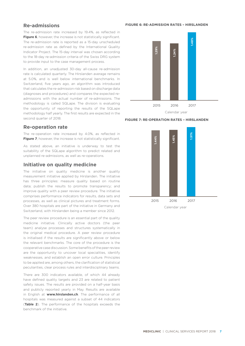## **Re-admissions**

The re-admission rate increased by 19.4%, as reflected in **Figure 6**, however, the increase is not statistically significant. The re-admission rate is reported as a 15-day unscheduled re-admission rate as defined by the International Quality Indicator Project. The 15-day interval was chosen according to the 18-day re-admission criteria of the Swiss DRG system to provide input to the case management process.

In addition, an unadjusted 30-day all-cause re-admission rate is calculated quarterly. The Hirslanden average remains at 5.0%, and is well below international benchmarks. In Switzerland, five years ago, an algorithm was introduced that calculates the re-admission risk based on discharge data (diagnoses and procedures) and compares the expected readmissions with the actual number of re-admissions. The methodology is called SQLape. The division is evaluating the opportunity of reporting the results of the SQLape methodology half yearly. The first results are expected in the second quarter of 2018.

## **Re-operation rate**

The re-operation rate increased by 4.0%, as reflected in **Figure 7**, however, the increase is not statistically significant.

As stated above, an initiative is underway to test the suitability of the SQLape algorithm to predict related and unplanned re-admissions, as well as re-operations.

## **Initiative on quality medicine**

The initiative on quality medicine is another quality measurement initiative applied by Hirslanden. The initiative has three principles: measure quality based on routine data; publish the results to promote transparency; and improve quality with a peer review procedure. The initiative comprises performance indicators for results, data sets and processes, as well as clinical pictures and treatment forms. Over 380 hospitals are part of the initiative in Germany and Switzerland, with Hirslanden being a member since 2012.

The peer review procedure is an essential part of the quality medicine initiative. Clinically active doctors (the peer team) analyse processes and structures systematically in the original medical procedure. A peer review procedure is initialised if the results are significantly above or below the relevant benchmarks. The core of the procedure is the cooperative case discussion. Some benefits of the peer review are the opportunity to uncover local specialities, identify weaknesses, and establish an open error culture. Principles to be applied are, among others, the clarification of statistical peculiarities, clear process rules and interdisciplinary teams.

There are 300 indicators available, of which 44 already have defined quality targets and 23 are related to patient safety issues. The results are provided on a half-year basis and publicly reported yearly in May. Results are available in English at **www.hirslanden.ch**. The performance of all hospitals was measured against a subset of 44 indicators (**Table 2**). The performance of the hospitals exceeds the benchmark of the initiative.

#### **FIGURE 6: RE-ADMISSION RATES – HIRSLANDEN**



**FIGURE 7: RE-OPERATION RATES – HIRSLANDEN**



Calendar year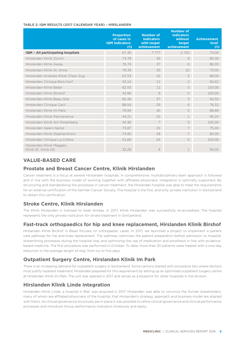#### **TABLE 2: IQM RESULTS (2017 CALENDAR YEAR) – HIRSLANDEN**

|                                                 | <b>Proportion</b><br>of cases in<br><b>IQM</b> indicators<br>$(\%)$ | <b>Number of</b><br><b>indicators</b><br>with target<br>achievement | <b>Number of</b><br><b>indicators</b><br>without<br>target<br>achievement | <b>Achievement</b><br>level<br>$(\%)$ |
|-------------------------------------------------|---------------------------------------------------------------------|---------------------------------------------------------------------|---------------------------------------------------------------------------|---------------------------------------|
| IQM - All participating hospitals               | 67.30                                                               | 7777                                                                | 2732                                                                      | 74.00                                 |
| Hirslanden Klinik Zürich                        | 73.78                                                               | 36                                                                  | 9                                                                         | 80.00                                 |
| Hirslanden Klinik Aarau                         | 76.74                                                               | 37                                                                  | 6                                                                         | 86.05                                 |
| Hirslanden Klinik St. Anna                      | 78.39                                                               | 30                                                                  | 10                                                                        | 75.00                                 |
| Hirslanden Andreas Klinik Cham Zug              | 67.53                                                               | 22                                                                  | 3                                                                         | 88.00                                 |
| Hirslanden Clinique Bois-Cerf                   | 43.14                                                               | 11                                                                  | $\overline{2}$                                                            | 84.62                                 |
| Hirslanden Klinik Belair                        | 62.55                                                               | 11                                                                  | $\bigcirc$                                                                | 100.00                                |
| Hirslanden Klinik Birshof                       | 42.86                                                               | 8                                                                   | $\circ$                                                                   | 100.00                                |
| Hirslanden Klinik Beau-Site                     | 82.46                                                               | 37                                                                  | 3                                                                         | 92.50                                 |
| Hirslanden Clinique Cecil                       | 88.54                                                               | 29                                                                  | 9                                                                         | 76.32                                 |
| Hirslanden Klinik Im Park                       | 78.94                                                               | 40                                                                  | 5                                                                         | 88.89                                 |
| Hirslanden Klinik Permanence                    | 44.21                                                               | 20                                                                  | $\mathbf 1$                                                               | 95.24                                 |
| Hirslanden Klinik Am Rosenberg                  | 40.46                                                               | 7                                                                   | $\bigcirc$                                                                | 100.00                                |
| Hirslanden Salem-Spital                         | 73.87                                                               | 21                                                                  | 7                                                                         | 75.00                                 |
| Hirslanden Klinik Stephanshorn                  | 74.90                                                               | 28                                                                  | 7                                                                         | 80.00                                 |
| Hirslanden Clinique La Colline                  | 51.66                                                               | 24                                                                  | $\bigcirc$                                                                | 100.00                                |
| Hirslanden Klinik Meggen,<br>Klinik St. Anna AG | 32.28                                                               | 9                                                                   | 1                                                                         | 90.00                                 |

## **VALUE-BASED CARE**

## **Prostate and Breast Cancer Centre, Klinik Hirslanden**

Cancer treatment is a focus at several Hirslanden hospitals. A comprehensive, multidisciplinary team approach is followed and in line with the business model of working together with affiliated physicians, integration is optimally supported. By structuring and standardising the processes in cancer treatment, the Hirslanden hospital was able to meet the requirements for an external certification of the German Cancer Society. The hospital is the first, and only, private institution in Switzerland to obtain this certification.

## **Stroke Centre, Klinik Hirslanden**

The Klinik Hirslanden is licensed to treat strokes. In 2017, Klinik Hirslanden was successfully re-accredited. The hospital represents the only private institution for stroke treatment in Switzerland.

## **Fast-track orthopaedics for hip and knee replacement, Hirslanden Klinik Birshof**

Hirslanden Klinik Birshof in Basel focuses on orthopaedic cases. In 2017, we launched a project to implement a patient care pathway for hip and knee replacement. The pathway optimises the patient preparation before admission to hospital, streamlining processes during the hospital stay and optimising the use of medication and prosthesis in line with evidencebased medicine. The first procedure was performed in October. To date, more than 50 patients were treated with a one-day reduction in the average length of stay, from six to five days.

## **Outpatient Surgery Centre, Hirslanden Klinik Im Park**

There is an increasing demand for outpatient surgery in Switzerland. Some cantons started with procedure lists where doctors must justify inpatient treatment. Hirslanden prepared for this requirement by setting up an optimised outpatient surgery centre at Hirslanden Klinik Im Park. The unit was opened in 2017 and serves as a blueprint for other hospitals in the division.

## **Hirslanden Klinik Linde integration**

Hirslanden Klinik Linde, a hospital in Biel, was acquired in 2017. Hirslanden was able to convince the former shareholders, many of whom are affiliated physicians of the hospital, that Hirslanden's strategy, approach and business model are aligned with theirs. As clinical governance structures are in place it was possible to refine clinical governance and clinical performance processes and introduce Group performance indicators timeously and easily.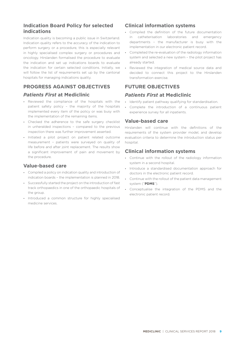## **Indication Board Policy for selected indications**

Indication quality is becoming a public issue in Switzerland. Indication quality refers to the accuracy of the indication to perform surgery or a procedure, this is especially relevant in highly specialised complex surgery or procedures and oncology. Hirslanden formalised the procedure to evaluate the indication and set up indications boards to evaluate the indication for certain selected conditions. Initially, we will follow the list of requirements set up by the cantonal hospitals for managing indications quality.

## **PROGRESS AGAINST OBJECTIVES**

## *Patients First* **at Mediclinic**

- **•** Reviewed the compliance of the hospitals with the patient safety policy – the majority of the hospitals implemented every item of the policy or was busy with the implementation of the remaining items.
- **•** Checked the adherence to the safe surgery checklist in unheralded inspections – compared to the previous inspection there was further improvement asserted.
- **•** Initiated a pilot project on patient related outcome measurement – patients were surveyed on quality of life before and after joint replacement. The results show a significant improvement of pain and movement by the procedure.

## **Value-based care**

- **•** Compiled a policy on indication quality and introduction of indication boards – the implementation is planned in 2018.
- **•** Successfully started the project on the introduction of fast track orthopaedics in one of the orthopaedic hospitals of the group.
- **•** Introduced a common structure for highly specialised medicine services.

## **Clinical information systems**

- **•** Compiled the definition of the future documentation in catheterisation laboratories and emergency departments – the manufacturer is busy with the implementation in our electronic patient record.
- **•** Completed the re-evaluation of the radiology information system and selected a new system – the pilot project has already started.
- **•** Reviewed the integration of medical source data and decided to connect this project to the Hirslanden transformation exercise.

## **FUTURE OBJECTIVES**

## *Patients First* **at Mediclinic**

- **•** Identify patient pathway qualifying for standardisation.
- **•** Complete the introduction of a continuous patient experience survey for all inpatients.

## **Value-based care**

Hirslanden will continue with the definitions of the requirements of the system provider model, and develop evaluation criteria to determine the introduction status per hospital.

## **Clinical information systems**

- **•** Continue with the rollout of the radiology information system in a second hospital.
- **•** Introduce a standardised documentation approach for doctors in the electronic patient record.
- **•** Continue with the rollout of the patient data management system ("**PDMS**").
- **•** Conceptualise the integration of the PDMS and the electronic patient record.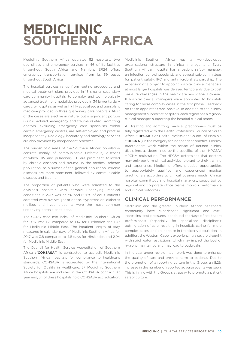## **MEDICLINIC SOUTHERN AFRICA**

Mediclinic Southern Africa operates 52 hospitals, two day clinics and emergency services in 46 of its facilities throughout South Africa and Namibia. ER24 offers emergency transportation services from its 59 bases throughout South Africa.

The hospital services range from routine procedures and medical treatment plans provided in 15 smaller secondary care community hospitals, to complex and technologically advanced treatment modalities provided in 34 larger tertiary care city hospitals, as well as highly specialised and transplant medicine provided in three quaternary care hospitals. Most of the cases are elective in nature, but a significant portion is unscheduled, emergency and trauma related. Admitting doctors, excluding emergency care specialists within certain emergency centres, are self-employed and practise independently. Radiology, laboratory and oncology services are also provided by independent practices.

The burden of disease of the Southern African population consists mainly of communicable (infectious) diseases of which HIV and pulmonary TB are prominent, followed by chronic diseases and trauma. In the medical scheme population, as a subset of the general population, chronic diseases are more prominent, followed by communicable diseases and trauma.

The proportion of patients who were admitted to the division's hospitals with chronic underlying medical conditions in 2017 was 33.7%, and 69.6% of adult patients admitted were overweight or obese. Hypertension, diabetes mellitus and hyperlipidaemia were the most common underlying chronic conditions.

The CCRG case mix index of Mediclinic Southern Africa for 2017 was 1.21 compared to 1.47 for Hirslanden and 1.07 for Mediclinic Middle East. The inpatient length of stay measured in calendar days of Mediclinic Southern Africa for 2017 was 3.8 compared to 4.8 days for Hirslanden and 2.94 for Mediclinic Middle East.

The Council for Health Service Accreditation of Southern Africa ("**COHSASA**") is contracted to accredit Mediclinic Southern Africa hospitals for compliance to healthcare standards. COHSASA is accredited by the International Society for Quality in Healthcare. 37 Mediclinic Southern Africa hospitals are included in the COHSASA contract. At year end, 34 of these hospitals hold COHSASA accreditation.

Mediclinic Southern Africa has a well-developed organisational structure in clinical management. Every Southern African hospital has a patient safety manager, an infection control specialist, and several sub-committees for patient safety, IPC and antimicrobial stewardship. The expansion of a project to appoint hospital clinical managers at most larger hospitals was delayed temporarily due to cost pressure challenges in the healthcare landscape. However, 11 hospital clinical managers were appointed to hospitals caring for more complex cases in the first phase. Feedback on these appointees was positive. In addition to the clinical management support at hospitals, each region has a regional clinical manager supporting the hospital clinical teams.

All treating and admitting medical practitioners must be fully registered with the Health Professions Council of South Africa ("**HPCSA**") or Health Professions Council of Namibia ("**HPCNA**") in the category for independent practice. Medical practitioners work within the scope of defined clinical disciplines as determined by the specifics of their HPCSA/ HPCNA registration. The HPCSA determines that doctors may only perform clinical activities relevant to their training and experience. Mediclinic offers practice opportunities to appropriately qualified and experienced medical practitioners according to clinical business needs. Clinical hospital committees and hospital managers, supported by regional and corporate office teams, monitor performance and clinical outcomes.

## **CLINICAL PERFORMANCE**

Mediclinic and the greater Southern African healthcare community have experienced significant and everincreasing cost pressures; continued shortage of healthcare professionals (especially for specialised disciplines); outmigration of care, resulting in hospitals caring for more complex cases; and an increase in the elderly population. In addition, the Western Cape is experiencing a severe drought with strict water restrictions, which may impact the level of hygiene maintained and may lead to outbreaks.

In the year under review much work was done to enhance the quality of care and prevent harm to patients. Due to the promotion of a reporting culture in the Group, an 8.2% increase in the number of reported adverse events was seen. This is in line with the Group's strategy to promote a patient safety culture.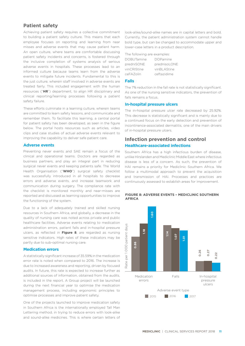## **Patient safety**

Achieving patient safety requires a collective commitment to building a patient safety culture. This means that each employee focuses on reporting and learning from near misses and adverse events that may cause patient harm. An open culture, where teams are comfortable discussing patient safety incidents and concerns, is fostered through the inclusive completion of systems analysis of serious adverse events in hospitals. These processes lead to an informed culture because teams learn from the adverse events to mitigate future incidents. Fundamental to this is the just culture, wherein staff involved in adverse events are treated fairly. This included engagement with the human resources ("**HR**") department, to align HR disciplinary and clinical reporting/learning processes following a patient safety failure.

These efforts culminate in a learning culture, wherein teams are committed to learn safety lessons, and communicate and remember them. To facilitate this learning, a central portal for patient safety has been developed, as seen in the figure below. The portal hosts resources such as articles, video clips and case studies of actual adverse events relevant to improving the capability to deliver safe patient care.

#### **Adverse events**

Preventing never events and SAE remain a focus of the clinical and operational teams. Doctors are regarded as business partners, and play an integral part in reducing surgical never events and keeping patients safe. The World Health Organisation ("**WHO**") surgical safety checklist was successfully introduced in all hospitals to decrease errors and adverse events, and increase teamwork and communication during surgery. The compliance rate with the checklist is monitored monthly and near-misses are reported and discussed as learning opportunities to improve the functioning of the system.

Due to a lack of adequately trained and skilled nursing resources in Southern Africa, and globally, a decrease in the quality of nursing care was noted across private and public healthcare facilities. Adverse events relating to medication administration errors, patient falls and in-hospital pressure ulcers, as reflected in **Figure 8**, are regarded as nursing sensitive indicators. High rates of these indicators may be partly due to sub-optimal nursing care.

#### **Medication errors**

A statistically significant increase of 35.59% in the medication error rate is noted when compared to 2016. The increase is due to increased awareness and reporting, driven by focused audits. In future, this rate is expected to increase further as additional sources of information, obtained from the audits, is included in the report. A Group project will be launched during the next financial year to optimise the medication management process, including ergonomic principles to optimise processes and improve patient safety.

One of the projects launched to improve medication safety in Southern Africa is the internationally employed Tall Man Lettering method, in trying to reduce errors with look-alike and sound-alike medicines. This is where certain letters of

look-alike/sound-alike names are in capital letters and bold. Currently, the patient administration system cannot handle bold type, but can be changed to accommodate upper and lower-case letters in a product description.

The following are examples:

| <b>DOBUTamine</b> | <b>DOPamine</b> |
|-------------------|-----------------|
| predniSONE        | prednisoLONE    |
| vinCRIStine       | vinBL AStine    |
| ceFA7olin         | ceftazidime     |

#### **Falls**

The 7% reduction in the fall rate is not statistically significant. As one of the nursing sensitive indicators, the prevention of falls remains a focus.

#### **In-hospital pressure ulcers**

The in-hospital pressure ulcer rate decreased by 25.92%. This decrease is statistically significant and is mainly due to a continued focus on the early detection and prevention of incontinence-associated dermatitis, one of the main drivers of in-hospital pressure ulcers.

## **Infection prevention and control Healthcare-associated infections**

Southern Africa has a high infectious burden of disease. unlike Hirslanden and Mediclinic Middle East where infectious disease is less of a concern. As such, the prevention of HAI remains a priority for Mediclinic Southern Africa. We follow a multimodal approach to prevent the acquisition and transmission of HAI. Processes and practices are continuously assessed to establish areas for improvement.



#### **FIGURE 8: ADVERSE EVENTS – MEDICLINIC SOUTHERN AFRICA**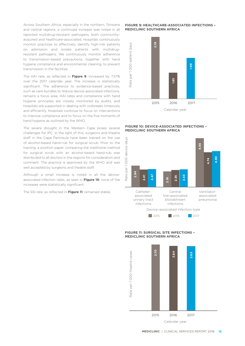Across Southern Africa, especially in the northern, Tshwane and central regions, a continued increase was noted in all reported multidrug-resistant pathogens, both communityacquired and healthcare-associated. Hospitals continuously monitor practices to effectively identify high-risk patients on admission and isolate patients with multidrugresistant pathogens. We continuously monitor adherence to transmission-based precautions, together with hand hygiene compliance and environmental cleaning, to prevent transmission in the facilities.

The HAI rate, as reflected in **Figure 9**, increased by 7.57% over the 2017 calendar year. The increase is statistically significant. The adherence to evidence-based practices, such as care bundles to reduce device-associated infections, remains a focus area. HAI rates and compliance with hand hygiene principles are closely monitored by audits, and hospitals are supported in dealing with outbreaks timeously and efficiently. Hospitals continue to focus on interventions to improve compliance and to focus on the five moments of hand hygiene as outlined by the WHO.

The severe drought in the Western Cape poses several challenges for IPC. In the light of this, surgeons and theatre staff in the Cape Peninsula have been trained on the use of alcohol-based hand-rub for surgical scrub. Prior to the training, a position paper comparing the traditional method for surgical scrub with an alcohol-based hand-rub was distributed to all doctors in the regions for consideration and comment. The practice is approved by the WHO and was well accepted by surgeons and theatre staff.

Although a small increase is noted in all the deviceassociated infection rates, as seen in **Figure 10**, none of the increases were statistically significant.

The SSI rate, as reflected in **Figure 11**, remained stable.

#### **FIGURE 9: HEALTHCARE-ASSOCIATED INFECTIONS – MEDICLINIC SOUTHERN AFRICA**



#### **FIGURE 10: DEVICE-ASSOCIATED INFECTIONS – MEDICLINIC SOUTHERN AFRICA**



#### **FIGURE 11: SURGICAL SITE INFECTIONS – MEDICLINIC SOUTHERN AFRICA**

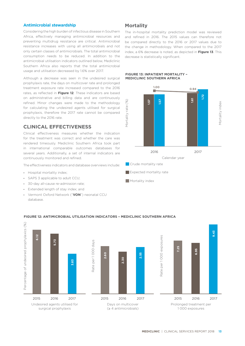#### **Antimicrobial stewardship**

Considering the high burden of infectious disease in Southern Africa, effectively managing antimicrobial resources and preventing multidrug resistance are critical. Antimicrobial resistance increases with using all antimicrobials and not only certain classes of antimicrobials. The total antimicrobial consumption needs to be reduced. In addition to the antimicrobial utilisation indicators outlined below, Mediclinic Southern Africa also reports that the total antimicrobial usage and utilisation decreased by 1.6% over 2017.

Although a decrease was seen in the undesired surgical prophylaxis rate, the days on multicover rate and prolonged treatment exposure rate increased compared to the 2016 rates, as reflected in **Figure 12**. These indicators are based on administrative and billing data and are continuously refined. Minor changes were made to the methodology for calculating the undesired agents utilised for surgical prophylaxis, therefore the 2017 rate cannot be compared directly to the 2016 rate.

## **CLINICAL EFFECTIVENESS**

Clinical effectiveness measures whether the indication for the treatment was correct and whether the care was rendered timeously. Mediclinic Southern Africa took part in international comparable outcomes databases for several years. Additionally, a set of internal indicators are continuously monitored and refined.

The effectiveness indicators and database overviews include:

- **•** Hospital mortality index;
- **•** SAPS 3 applicable to adult CCU;
- **•** 30-day all-cause re-admission rate;
- **•** Extended length of stay index; and
- **•** Vermont Oxford Network ("**VON**") neonatal CCU database.

## **Mortality**

The in-hospital mortality prediction model was reviewed and refined in 2016. The 2015 values can therefore not be compared directly to the 2016 or 2017 values due to the change in methodology. When compared to the 2017 index, a 6% decrease is noted, as depicted in **Figure 13**. This decrease is statistically significant.

#### **FIGURE 13: INPATIENT MORTALITY – MEDICLINIC SOUTHERN AFRICA**



- 
- Mortality index



#### **FIGURE 12: ANTIMICROBIAL UTILISATION INDICATORS – MEDICLINIC SOUTHERN AFRICA**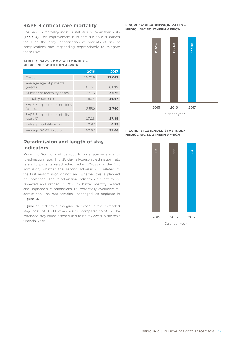## **SAPS 3 critical care mortality**

The SAPS 3 mortality index is statistically lower than 2016 (**Table 3**). This improvement is in part due to a sustained focus on the early identification of patients at risk of complications and responding appropriately to mitigate these risks.

#### **TABLE 3: SAPS 3 MORTALITY INDEX – MEDICLINIC SOUTHERN AFRICA**

|                                          | 2016    | 2017    |
|------------------------------------------|---------|---------|
| Cases                                    | 15 016  | 21 0 61 |
| Average age of patients<br>(years)       | 61.61   | 61.99   |
| Number of mortality cases                | 2 5 1 3 | 3575    |
| Mortality rate (%)                       | 16.74   | 16.97   |
| SAPS 3 expected mortalities<br>(cases)   | 2 5 8 0 | 3760    |
| SAPS 3 expected mortality<br>rate $(\%)$ | 17.18   | 17.85   |
| SAPS 3 mortality index                   | 0.97    | 0.95    |
| Average SAPS 3 score                     | 50.67   | 51.06   |

## **Re-admission and length of stay indicators**

Mediclinic Southern Africa reports on a 30-day all-cause re-admission rate. The 30-day all-cause re-admission rate refers to patients re-admitted within 30-days of the first admission, whether the second admission is related to the first re-admission or not; and whether this is planned or unplanned. The re-admission indicators are set to be reviewed and refined in 2018 to better identify related and unplanned re-admissions, i.e. potentially avoidable readmissions. The rate remains unchanged, as depicted in **Figure 14**.

**Figure 15** reflects a marginal decrease in the extended stay index of 0.88% when 2017 is compared to 2016. The extended stay index is scheduled to be reviewed in the next financial year.

#### **FIGURE 14: RE-ADMISSION RATES – MEDICLINIC SOUTHERN AFRICA**



#### **FIGURE 15: EXTENDED STAY INDEX – MEDICLINIC SOUTHERN AFRICA**

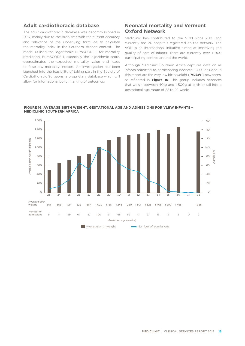## **Adult cardiothoracic database**

The adult cardiothoracic database was decommissioned in 2017, mainly due to the problems with the current accuracy and relevance of the underlying formulae to calculate the mortality index in the Southern African context. The model utilised the logarithmic EuroSCORE I for mortality prediction. EuroSCORE I, especially the logarithmic score, overestimates the expected mortality value and leads to false low mortality indexes. An investigation has been launched into the feasibility of taking part in the Society of Cardiothoracic Surgeons, a proprietary database which will allow for international benchmarking of outcomes.

## **Neonatal mortality and Vermont Oxford Network**

Mediclinic has contributed to the VON since 2001 and currently has 26 hospitals registered on the network. The VON is an international initiative aimed at improving the quality of care of infants. There are currently over 1 000 participating centres around the world.

Although Mediclinic Southern Africa captures data on all infants admitted to participating neonatal CCU, included in this report are the very low birth weight ("**VLBW**") newborns, as reflected in **Figure 16**. This group includes neonates that weigh between 401g and 1 500g at birth or fall into a gestational age range of 22 to 29 weeks.



#### **FIGURE 16: AVERAGE BIRTH WEIGHT, GESTATIONAL AGE AND ADMISSIONS FOR VLBW INFANTS – MEDICLINIC SOUTHERN AFRICA**

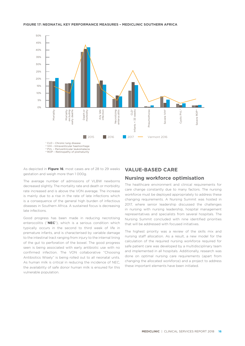

#### **FIGURE 17: NEONATAL KEY PERFORMANCE MEASURES – MEDICLINIC SOUTHERN AFRICA**

As depicted in **Figure 16**, most cases are of 28 to 29 weeks gestation and weigh more than 1 000g.

The average number of admissions of VLBW newborns decreased slightly. The mortality rate and death or morbidity rate increased and is above the VON average. The increase is mainly due to a rise in the rate of late infections which is a consequence of the general high burden of infectious diseases in Southern Africa. A sustained focus is decreasing late infections.

Good progress has been made in reducing necrotising enterocolitis ("**NEC**"), which is a serious condition which typically occurs in the second to third week of life in premature infants, and is characterised by variable damage to the intestinal tract ranging from injury to the internal lining of the gut to perforation of the bowel. The good progress seen is being associated with early antibiotic use with no confirmed infection. The VON collaborative "Choosing Antibiotics Wisely" is being rolled out to all neonatal units. As human milk is critical in reducing the incidence of NEC, the availability of safe donor human milk is ensured for this vulnerable population.

## **VALUE-BASED CARE**

### **Nursing workforce optimisation**

The healthcare environment and clinical requirements for care change constantly due to many factors. The nursing workforce must be deployed appropriately to address these changing requirements. A Nursing Summit was hosted in 2017, where senior leadership discussed the challenges in nursing with nursing leadership, hospital management representatives and specialists from several hospitals. The Nursing Summit concluded with nine identified priorities that will be addressed with focused initiatives.

The highest priority was a review of the skills mix and nursing staff allocation. As a result, a new model for the calculation of the required nursing workforce required for safe patient care was developed by a multidisciplinary team and implemented in all hospitals. Additionally, research was done on optimal nursing care requirements (apart from changing the allocated workforce) and a project to address these important elements have been initiated.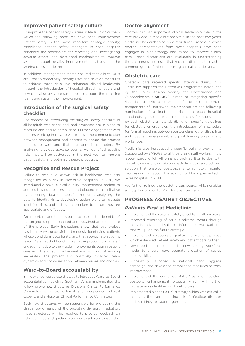## **Improved patient safety culture**

To improve the patient safety culture in Mediclinic Southern Africa the following measures have been implemented: Patient safety is the most important strategic priority; established patient safety managers in each hospital; enhanced the mechanism for reporting and investigating adverse events; and developed mechanisms to improve systems through quality improvement initiatives and the sharing of lessons learnt.

In addition, management teams ensured that clinical KPIs are used to proactively identify risks and develop measures to address these risks. We enhanced clinical leadership through the introduction of hospital clinical managers and new clinical governance structures to support the front-line teams and sustain the improvement.

## **Introduction of the surgical safety checklist**

The process of introducing the surgical safety checklist in all hospitals was concluded, and processes are in place to measure and ensure compliance. Further engagement with doctors working in theatre will improve the communication between management and doctors to ensure the process remains relevant and that teamwork is promoted. By analysing previous adverse events, we identified specific risks that will be addressed in the next year to improve patient safety and optimise theatre processes.

## **Recognise and Rescue Project**

Failure to rescue, a known risk in healthcare, was also recognised as a risk in Mediclinic hospitals. In 2017, we introduced a novel clinical quality improvement project to address this risk. Nursing units participated in this initiative by collecting data on specific measures, analysing the data to identify risks, developing action plans to mitigate identified risks, and testing action plans to ensure they are appropriate and effective.

An important additional step is to ensure the benefits of the project is operationalised and sustained after the close of the project. Early indications show that this project has been very successful in timeously identifying patients whose conditions deteriorate, and that appropriate action is taken. As an added benefit, this has improved nursing staff engagement due to the visible improvements seen in patient care and the direct involvement and support of nursing leadership. The project also positively impacted team dynamics and communication between nurses and doctors.

## **Ward-to-Board accountability**

In line with our corporate strategy to introduce Ward-to-Board accountability, Mediclinic Southern Africa implemented the following two new structures: Divisional Clinical Performance Committee with two external and independent clinical experts; and a Hospital Clinical Performance Committee.

Both new structures will be responsible for overseeing the clinical performance of the operating division. In addition, these structures will be required to provide feedback on risks identified and guidance on how to address these risks.

## **Doctor alignment**

Doctors fulfil an important clinical leadership role in the care provided in Mediclinic hospitals. In the past two years, Mediclinic has embarked on a structured process in which doctor representatives from most hospitals have been engaged in joint strategy discussions to improve clinical care. These discussions are invaluable in understanding the challenges and risks that require attention to reach a common goal of further improving clinical care delivery.

## **Obstetric care**

Obstetric care received specific attention during 2017. Mediclinic supports the BetterObs programme introduced by the South African Society for Obstetricians and Gynaecologists ("**SASOG**"), aimed at mitigating specific risks in obstetric care. Some of the most important components of BetterObs implemented are the following: nomination of a lead obstetrician in each hospital; standardising the minimum requirements for notes made by each obstetrician; standardising on specific guidelines for obstetric emergencies; the introduction of a schedule for formal meetings between obstetricians, other disciplines and hospital management; and joint training sessions and workshops.

Mediclinic also introduced a specific training programme (supported by SASOG) for all the nursing staff working in the labour wards which will enhance their abilities to deal with obstetric emergencies. We successfully piloted an electronic solution that enables obstetricians to remotely monitor progress during labour. The solution will be implemented in more hospitals in 2018.

We further refined the obstetric dashboard, which enables all hospitals to monitor KPIs for obstetric care.

## **PROGRESS AGAINST OBJECTIVES**

## *Patients First* **at Mediclinic**

- **•** Implemented the surgical safety checklist in all hospitals.
- **•** Improved reporting of serious adverse events through many initiatives and valuable information was gathered that will guide the future strategy.
- **•** Implemented a successful quality improvement project, which enhanced patient safety and patient care further.
- **•** Developed and implemented a new nursing workforce model to ensure more accurate allocation of scarce nursing skills.
- **•** Successfully launched a national hand hygiene campaign, and developed compliance measures to track improvement.
- **•** Implemented the combined BetterObs and Mediclinic obstetric enhancement projects which will further mitigate risks identified in obstetric care.
- **•** Implemented a specific IPC strategy, which was critical in managing the ever-increasing risk of infectious diseases and multidrug-resistant organisms.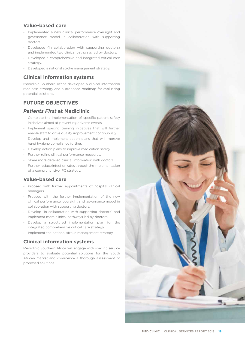## **Value-based care**

- **•** Implemented a new clinical performance oversight and governance model in collaboration with supporting doctors.
- **•** Developed (in collaboration with supporting doctors) and implemented two clinical pathways led by doctors.
- **•** Developed a comprehensive and integrated critical care strategy.
- **•** Developed a national stroke management strategy.

## **Clinical information systems**

Mediclinic Southern Africa developed a clinical information readiness strategy and a proposed roadmap for evaluating potential solutions.

## **FUTURE OBJECTIVES**

## *Patients First* **at Mediclinic**

- **•** Complete the implementation of specific patient safety initiatives aimed at preventing adverse events.
- **•** Implement specific training initiatives that will further enable staff to drive quality improvement continuously.
- **•** Develop and implement action plans that will improve hand hygiene compliance further.
- **•** Develop action plans to improve medication safety.
- **•** Further refine clinical performance measures.
- **•** Share more detailed clinical information with doctors.
- **•** Further reduce infection rates through the implementation of a comprehensive IPC strategy.

## **Value-based care**

- **•** Proceed with further appointments of hospital clinical managers.
- **•** Proceed with the further implementation of the new clinical performance, oversight and governance model in collaboration with supporting doctors.
- **•** Develop (in collaboration with supporting doctors) and implement more clinical pathways led by doctors.
- **•** Develop a structured implementation plan for the integrated comprehensive critical care strategy.
- **•** Implement the national stroke management strategy.

## **Clinical information systems**

Mediclinic Southern Africa will engage with specific service providers to evaluate potential solutions for the South African market and commence a thorough assessment of proposed solutions.

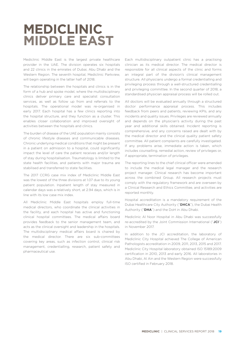## **MEDICLINIC MIDDLE EAST**

Mediclinic Middle East is the largest private healthcare provider in the UAE. The division operates six hospitals and 22 clinics in the emirates of Dubai, Abu Dhabi and the Western Region. The seventh hospital, Mediclinic Parkview, will begin operating in the latter half of 2018.

The relationship between the hospitals and clinics is in the form of a hub and spoke model, where the multidisciplinary clinics deliver primary care and specialist consultation services, as well as follow up from and referrals to the hospitals. The operational model was re-organised in early 2017. Each hospital has a few clinics reporting into the hospital structure, and they function as a cluster. This enables closer collaboration and improved oversight of activities between the hospitals and clinics.

The burden of disease of the UAE population mainly consists of chronic lifestyle diseases and communicable diseases. Chronic underlying medical conditions that might be present in a patient on admission to a hospital, could significantly impact the level of care the patient receives and/or length of stay during hospitalisation. Traumatology is limited to the state health facilities, and patients with major trauma are stabilised and transferred to state facilities.

The 2017 CCRG case mix index of Mediclinic Middle East was the lowest of the three divisions at 1.07 due to its young patient population. Inpatient length of stay measured in calendar days was a relatively short, at 2.94 days, which is in line with its low case mix index.

All Mediclinic Middle East hospitals employ full-time medical directors, who coordinate the clinical activities in the facility, and each hospital has active and functioning clinical hospital committees. The medical affairs board provides feedback to the senior management team, and acts as the clinical oversight and leadership in the hospitals. The multidisciplinary medical affairs board is chaired by the medical director. There are six sub-committees covering key areas, such as infection control, clinical risk management, credentialling, research, patient safety and pharmaceutical use.

Each multidisciplinary outpatient clinic has a practising clinician as its medical director. The medical director is responsible for all clinical aspects of the clinic and forms an integral part of the division's clinical management structure. All physicians undergo a formal credentialling and privileging process through a well-structured credentialling and privileging committee. In the second quarter of 2018, a standardised physician appraisal process will be rolled out.

All doctors will be evaluated annually through a structured doctor performance appraisal process. This includes feedback from peers and patients, reviewing KPIs, and any incidents and quality issues. Privileges are reviewed annually and depends on the physician's activity during the past year and additional skills obtained. Incident reporting is comprehensive, and any concerns raised are dealt with by the medical director and the clinical quality patient safety committee. All patient complaints are carefully investigated. If any problems arise, immediate action is taken, which includes counselling, remedial action, review of privileges or, if appropriate, termination of privileges.

The reporting lines to the chief clinical officer were amended to include the medical legal manager and the research project manager. Clinical research has become important across the combined Group. All research projects must comply with the regulatory framework and are overseen by a Clinical Research and Ethics Committee, and activities are reported monthly.

Hospital accreditation is a mandatory requirement of the Dubai Healthcare City Authority ("**DHCA**"), the Dubai Health Authority ("**DHA**") and the DoH in Abu Dhabi.

Mediclinic Al Noor Hospital in Abu Dhabi was successfully re-accredited by the Joint Commission International ("**JCI**") in November 2017.

In addition to the JCI accreditation, the laboratory of Mediclinic City Hospital achieved The College of American Pathologists accreditation in 2009, 2011, 2013, 2015 and 2017. Mediclinic City Hospital laboratory obtained ISO 15189:2009 certification in 2010, 2013 and early 2016. All laboratories in Abu Dhabi, Al Ain and the Western Region were successfully ISO certified in February 2018.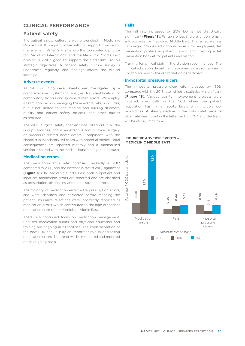## **CLINICAL PERFORMANCE**

## **Patient safety**

The patient safety culture is well entrenched in Mediclinic Middle East. It is a just culture with full support from senior management. *Patients First* is also the top strategic priority for Mediclinic International and the Mediclinic Middle East division is well aligned to support the Mediclinic Group's strategic objectives. A patient safety culture survey is undertaken regularly, and findings inform the clinical strategy.

#### **Adverse events**

All SAE, including never events, are investigated by a comprehensive, systematic analysis for identification of contributory factors and system-related errors. We employ a team approach in managing these events, which includes, but is not limited to, the medical and nursing directors, quality and patient safety officers, and other parties as required.

The WHO surgical safety checklist was rolled out in all the Group's facilities, and is an effective tool to avoid surgery or procedure-related never events. Compliance with the checklist is mandatory. All cases with potential medical legal consequences are reported monthly and a summarised version is shared with the medical legal manager and insurer.

#### **Medication errors**

The medication error rate increased markedly in 2017 compared to 2016, and the increase is statistically significant (**Figure 18**). In Mediclinic Middle East both outpatient and inpatient medication errors are reported and are classified as prescription, dispensing and administration errors.

The majority of medication errors were prescription errors, and were identified and corrected before reaching the patient. Insurance rejections were incorrectly reported as medication errors, which contributed to the high outpatient medication error rate in Mediclinic Middle East.

There is a continued focus on medication management. Focused medication audits and physician education and training are ongoing in all facilities. The implementation of the new EHR should play an important role in decreasing medication errors. The trend will be monitored and reported on an ongoing basis.

#### **Falls**

The fall rate increased by 25%, but is not statistically significant (**Figure 18**). Fall awareness and prevention remain a focus area for Mediclinic Middle East. The fall awareness campaign includes educational videos for employees, fall prevention posters in patient rooms, and creating a fall prevention booklet for patients and visitors.

Training for clinical staff in the division recommenced. The clinical education department is working on a programme in collaboration with the rehabilitation department.

#### **In-hospital pressure ulcers**

The in-hospital pressure ulcer rate increased by 150% compared with the 2016 rate, which is statistically significant (**Figure 18**). Various quality improvement projects were initiated, specifically in the CCU where the patient population has higher acuity levels with multiple comorbidities. A steady decline in the in-hospital pressure ulcer rate was noted in the latter part of 2017, and the trend will be closely monitored.

#### **FIGURE 18: ADVERSE EVENTS – MEDICLINIC MIDDLE EAST**

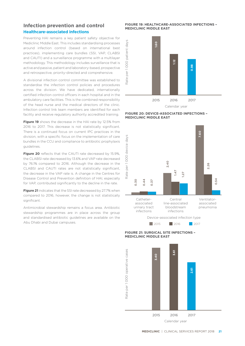## **Infection prevention and control Healthcare-associated infections**

Preventing HAI remains a key patient safety objective for Mediclinic Middle East. This includes standardising processes around infection control (based on international best practices), implementing care bundles (SSI, VAP, CLABSI and CAUTI) and a surveillance programme with a multilayer methodology. This methodology includes surveillance that is active and passive, patient and laboratory-based, prospective and retrospective, priority-directed and comprehensive.

A divisional infection control committee was established to standardise the infection control policies and procedures across the division. We have dedicated, internationally certified infection control officers in each hospital and in the ambulatory care facilities. This is the combined responsibility of the head nurse and the medical directors of the clinic. Infection control link team members are identified for each facility and receive regulatory authority accredited training.

**Figure 19** shows the decrease in the HAI rate by 12.5% from 2016 to 2017. This decrease is not statistically significant. There is a continued focus on current IPC practices in the division, with a specific focus on the implementation of care bundles in the CCU and compliance to antibiotic prophylaxis guidelines.

**Figure 20** reflects that the CAUTI rate decreased by 15.9%, the CLABSI rate decreased by 13.6% and VAP rate decreased by 76.1% compared to 2016. Although the decrease in the CLABSI and CAUTI rates are not statistically significant, the decrease in the VAP rate is. A change in the Centres for Disease Control and Prevention definition of HAI, especially for VAP, contributed significantly to the decline in the rate.

**Figure 21** indicates that the SSI rate decreased by 27.7% when compared to 2016, however, the change is not statistically significant.

Antimicrobial stewardship remains a focus area. Antibiotic stewardship programmes are in place across the group and standardised antibiotic guidelines are available on the Abu Dhabi and Dubai campuses.

#### **FIGURE 19: HEALTHCARE-ASSOCIATED INFECTIONS – MEDICLINIC MIDDLE EAST**



#### **FIGURE 20: DEVICE-ASSOCIATED INFECTIONS – MEDICLINIC MIDDLE EAST**





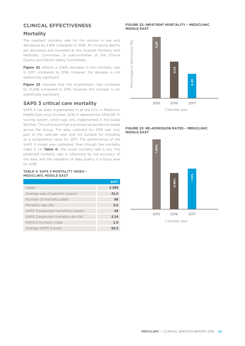## **CLINICAL EFFECTIVENESS**

## **Mortality**

The inpatient mortality rate for the division is low, and decreased by 4.16% compared to 2016. All unnatural deaths are discussed and reviewed at the Hospital Mortality and Morbidity Committee (a subcommittee of the Clinical Quality and Patient Safety Committee).

**Figure 22** reflects a 4.16% decrease in the mortality rate in 2017 compared to 2016, however, the decease is not statistically significant.

**Figure 23** indicates that the re-admission rate increased by 12.24% compared to 2016, however, the increase is not statistically significant.

## **SAPS 3 critical care mortality**

SAPS 3 has been implemented in all the CCU in Mediclinic Middle East since October 2016. It replaced the APACHE IV scoring system, which was only implemented in the Dubai facilities. This will ensure that outcomes can be benchmarked across the Group. The data collected for 2016 was only part of the calendar year and not suitable for including as a comparative value for 2017. The performance of the SAPS 3 model was calibrated. Even though the mortality index is 1.4 (**Table 4**), the crude mortality rate is low. The predicted mortality rate is influenced by the accuracy of the data, and the validation of data quality is a focus area for 2018.

#### **TABLE 4: SAPS 3 MORTALITY INDEX – MEDICLINIC MIDDLE EAST**

|                                     | 2017    |
|-------------------------------------|---------|
| Cases                               | 2 2 6 9 |
| Average age of patients (years)     | 41.0    |
| Number of mortality cases           | 68      |
| Mortality rate (%)                  | 3.0     |
| SAPS 3 expected mortalities (cases) | 49      |
| SAPS 3 expected mortality rate (%)  | 2.14    |
| SAPS 3 mortality index              | 1.4     |
| Average SAPS 3 score                | 56.3    |

#### **FIGURE 22: INPATIENT MORTALITY – MEDICLINIC MIDDLE EAST**



#### **FIGURE 23: RE-ADMISSION RATES – MEDICLINIC MIDDLE EAST**

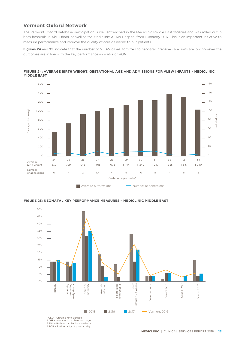## **Vermont Oxford Network**

The Vermont Oxford database participation is well entrenched in the Mediclinic Middle East facilities and was rolled out in both hospitals in Abu Dhabi, as well as the Mediclinic Al Ain Hospital from 1 January 2017. This is an important initiative to measure performance and improve the quality of care delivered to our patients.

**Figures 24** and **25** indicate that the number of VLBW cases admitted to neonatal intensive care units are low however the outcomes are in line with the key performance indicator of VON.



**FIGURE 24: AVERAGE BIRTH WEIGHT, GESTATIONAL AGE AND ADMISSIONS FOR VLBW INFANTS – MEDICLINIC MIDDLE EAST**



**2015** 2016 2017 **Vermont 2016** 

**FIGURE 25: NEONATAL KEY PERFORMANCE MEASURES – MEDICLINIC MIDDLE EAST**

<sup>1</sup> CLD - Chronic lung disease

2 IVH – Intraventicular haemorrhage 3 PVL – Periventricular leukomalacia

4 ROP – Retinopathy of prematurity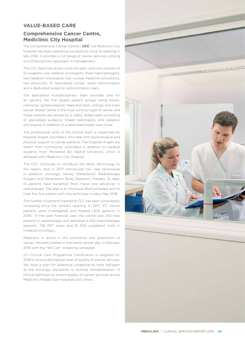## **VALUE-BASED CARE**

## **Comprehensive Cancer Centre, Mediclinic City Hospital**

The Comprehensive Cancer Centre ("**CCC**") at Mediclinic City Hospital has been operating successfully since its opening in late 2016. It provides a full range of cancer services utilising a multidisciplinary approach in management.

The CCC team has grown since the start, and now consists of 12 surgeons, two medical oncologists, three haematologists, two radiation oncologists, two nuclear medicine consultants, two physicists, 10 specialised nurses, seven technologists and a dedicated reception administration team.

The specialised multidisciplinary team provides care for all cancers, the five largest patient groups being breast, colorectal, gynaecological, head and neck, urology and brain cancer. Breast cancer is the most common type of cancer, and these patients are served by a highly skilled team consisting of specialised surgeons, breast radiologists, and radiation oncologists, in addition to a dedicated breast care nurse.

The professional work of the clinical team is supported by Hospital Angels volunteers, who help with psychological and physical support to cancer patients. The Hospital Angels are drawn from community volunteers in addition to medical students from Mohamed Bin Rashid University, which is affiliated with Mediclinic City Hospital.

The CCC continues to introduce the latest technology to the region, and in 2017 introduced two new techniques in radiation oncology, namely Stereotactic Radiotherapy Surgery and Stereotactic Body Radiation Therapy. To date, 13 patients have benefited from these new advances in radiotherapy. The plan is to introduce Brachytherapy and to treat the first patient with this technique in early May 2018.

The number of patients treated at CCC has been consistently increasing since the centre's opening. In 2017, 517 cancer patients were investigated and treated (303 patients in 2016). In the past financial year, the centre saw 250 new patients in radiotherapy, and delivered 3 200 chemotherapy sessions, 730 PET scans and 10 300 outpatient visits in (medical oncology).

Mediclinic is active in the promotion and prevention of cancer. We participated in the world cancer day in February 2018 with the "We Can" screening campaign.

JCI Clinical Care Programme Certification is targeted for 2018 to ensure the highest level of quality of cancer services. We have a plan for extensive collaborative work between all the oncology disciplines to achieve standardisation of clinical pathways to ensure quality of cancer services across Mediclinic Middle East hospitals and clinics.

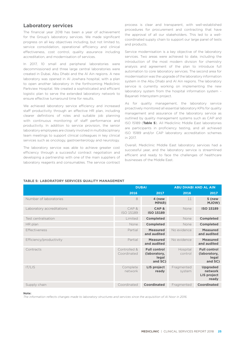#### **Laboratory services**

The financial year 2018 has been a year of achievement for the Group's laboratory services. We made significant progress on all key objectives including, but not limited to, service consolidation, operational efficiency and clinical effectiveness, cost control, quality assurance including accreditation, and modernisation of services.

In 2017, 10 small and peripheral laboratories were decommissioned and three large central laboratories were created in Dubai, Abu Dhabi and the Al Ain regions. A new laboratory was opened in Al Jowhara hospital, with a plan to open another laboratory in the forthcoming Mediclinic Parkview Hospital. We created a sophisticated and efficient logistic plan to serve the extended laboratory network to ensure effective turnaround time for results.

We achieved laboratory service efficiency and increased staff productivity through an effective HR plan, including clearer definitions of roles and suitable job planning with continuous monitoring of staff performance and productivity. In addition to service provision, the senior laboratory employees are closely involved in multidisciplinary team meetings to support clinical colleagues in key clinical services such as oncology, gastroenterology and neurology.

The laboratory service was able to achieve greater cost efficiency through a successful contract negotiation and developing a partnership with one of the main suppliers of laboratory reagents and consumables. The service contract

process is clear and transparent, with well-established procedures for procurement and contracting that have the approval of all our stakeholders. This led to a wellcoordinated supply chain to support our large panel of tests and products.

Service modernisation is a key objective of the laboratory services. Two areas were achieved to date, including the introduction of the most modern division for chemistry analysis and agreement of the plan to introduce full automation to core laboratory services. The second area for modernisation was the upgrade of the laboratory information system in the Abu Dhabi and Al Ain regions. The laboratory service is currently working on implementing the new laboratory system from the hospital information system – Bayanati Intersystem project.

As for quality management, the laboratory service proactively monitored all essential laboratory KPIs for quality management and assurance of the laboratory service as outlined by quality management systems such as CAP and ISO 15189 (**Table 5**). All Mediclinic Middle East laboratories are participants in proficiency testing, and all achieved ISO 15189 and/or CAP laboratory accreditation schemes in 2017.

Overall, Mediclinic Middle East laboratory services had a successful year, and the laboratory service is streamlined efficient and ready to face the challenges of healthcare businesses of the Middle East.

|                           | <b>DUBAI</b>                |                                                         | <b>ABU DHABI AND AL AIN</b> |                                                           |
|---------------------------|-----------------------------|---------------------------------------------------------|-----------------------------|-----------------------------------------------------------|
|                           | 2016                        | 2017                                                    | 2016                        | 2017                                                      |
| Number of laboratories    | 8                           | 4 (new<br><b>MPAR)</b>                                  | 11                          | 5 (new<br><b>MJOW)</b>                                    |
| Laboratory accreditations | CAP&<br>ISO 15189           | CAP&<br><b>ISO 15189</b>                                | None                        | <b>ISO 15189</b>                                          |
| Test centralisation       | Limited                     | <b>Completed</b>                                        | None                        | <b>Completed</b>                                          |
| HR plan                   | None                        | <b>Completed</b>                                        | None                        | <b>Completed</b>                                          |
| Effectiveness             | Partial                     | <b>Measured</b><br>and audited                          | No evidence                 | <b>Measured</b><br>and audited                            |
| Efficiency/productivity   | Partial                     | <b>Measured</b><br>and audited                          | No evidence                 | <b>Measured</b><br>and audited                            |
| Contracts                 | Controlled &<br>Coordinated | <b>Full control</b><br>(laboratory,<br>legal<br>and SC) | Hospital<br>control         | <b>Full control</b><br>(laboratory,<br>legal<br>and SC)   |
| IT/LIS                    | Complete<br>network         | LIS project<br>ready                                    | Fragmented<br>system        | <b>Upgraded</b><br>network<br><b>LIS project</b><br>ready |
| Supply chain              | Coordinated                 | Coordinated                                             | Fragmented                  | Coordinated                                               |

#### **TABLE 5: LABORATORY SERVICES QUALITY MANAGEMENT**

**Note:**

*The information reflects changes made to laboratory structures and services since the acquisition of Al Noor in 2016.*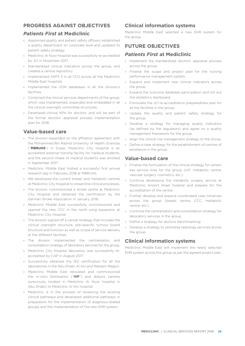## **PROGRESS AGAINST OBJECTIVES**

## *Patients First* **at Mediclinic**

- **•** Appointed quality and patient safety officers, established a quality department on corporate level and updated its patient safety strategy.
- **•** Mediclinic Al Noor hospital was successfully re-accredited by JCI in November 2017.
- **•** Standardised clinical indicators across the group, and created a central repository.
- **•** Implemented SAPS 3 in all CCU across all the Mediclinic Middle East hospitals.
- **•** Implemented the VON databases in all the division's facilities.
- **•** Combined the clinical services departments of the group, which was implemented, expanded and embedded in all the clinical oversight committee structures.
- **•** Developed clinical KPIs for doctors, and will be part of the formal doctors' appraisal process implementation plan for 2018.

## **Value-based care**

- **•** The division expanded on the affiliation agreement with the Mohammed Bin Rashid University of Health Sciences ("**MBRUHS**") in Dubai. Mediclinic City Hospital is an accredited external training facility for medical students, and the second intake of medical students was enrolled in September 2017.
- **•** Mediclinic Middle East hosted a successful first annual research day in February 2018 at MBRUHS.
- **•** We developed the current breast and metabolic centres at Mediclinic City Hospital to streamline clinical processes.
- **•** The division commissioned a stroke centre at Mediclinic City Hospital and obtained the certification by the German Stroke Association in January 2018.
- **•** Mediclinic Middle East successfully commissioned and opened the new CCC in the north wing expansion at Mediclinic City Hospital.
- **•** The division signed off a cancer strategy that includes the clinical oversight structure, site-specific tumour board structure and function as well as scope of service delivery at the different facilities.
- **•** The division implemented the centralisation and consolidation strategy of laboratory services for the group.
- **•** Mediclinic City Hospital laboratory was successfully reaccredited by CAP in August 2017.
- **•** Successfully obtained the ISO certification for all the laboratories in the Abu Dhabi, Al Ain and Western Region.
- **•** Mediclinic Middle East relocated and commissioned the in-vitro fertilisation ("**IVF**") and dialysis centres (previously located in Mediclinic Al Noor hospital in Abu Dhabi) to Mediclinic Al Ain hospital.
- **•** Mediclinic is in the process of reviewing the existing clinical pathways and developed additional pathways in preparation for the implementation of diagnosis-related groups and the implementation of the new EHR system.

## **Clinical information systems**

Mediclinic Middle East selected a new EHR system for the group.

## **FUTURE OBJECTIVES**

## *Patients First* **at Mediclinic**

- **•** Implement the standardised doctors' appraisal process across the group.
- **•** Finalise the scope and project plan for the nursing performance management system.
- **•** Expand and implement new clinical indicators across the group.
- **•** Expand the outcome database participation and roll out the obstetrics dashboard.
- **•** Formulate the JCI re-accreditation preparedness plan for all the facilities in the group.
- **•** Update the quality and patient safety strategy for the group.
- **•** Develop a strategy for managing quality indicators (as defined by the regulators) and agree on a quality management framework for the group.
- **•** Align the clinical risk management strategy to the Group.
- **•** Define a clear strategy for the establishment of centres of excellence in the group.

## **Value-based care**

- **•** Finalise the formulation of the clinical strategy for certain key service lines for the group (IVF, metabolic centre, vascular surgery, cosmetics, etc.).
- **•** Continue developing the metabolic surgery service at Mediclinic Airport Road hospital and prepare for the accreditation of the centre.
- **•** Further develop and expand coordinated care initiatives across the group (breast centre, CCC, metabolic centre, etc.).
- **•** Continue the centralisation and consolidation strategy for laboratory services in the group.
- **•** Define a strategy for doctors benchmarking.
- **•** Develop a strategy to centralise radiology services across the group.

## **Clinical information systems**

Mediclinic Middle East will implement the newly selected EHR system across the group as per the agreed project plan.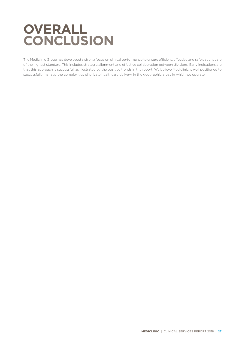## **OVERALL CONCLUSION**

The Mediclinic Group has developed a strong focus on clinical performance to ensure efficient, effective and safe patient care of the highest standard. This includes strategic alignment and effective collaboration between divisions. Early indications are that this approach is successful, as illustrated by the positive trends in the report. We believe Mediclinic is well positioned to successfully manage the complexities of private healthcare delivery in the geographic areas in which we operate.